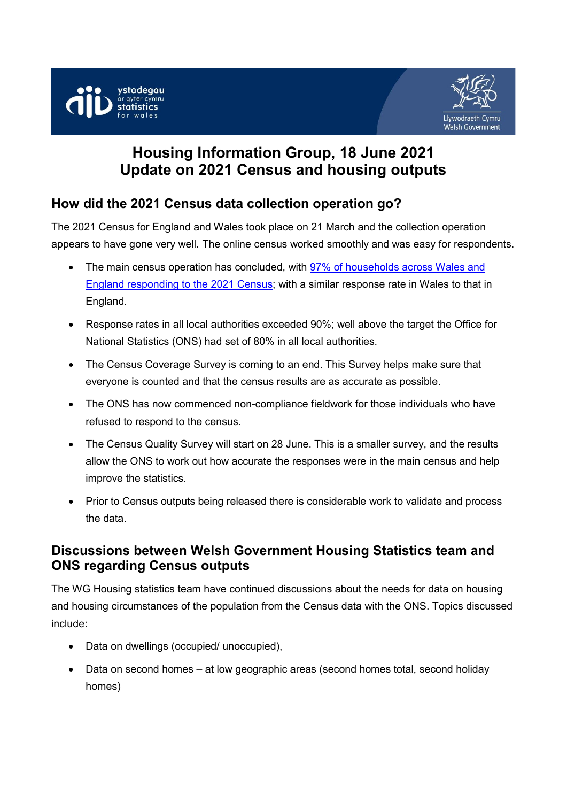



# **Housing Information Group, 18 June 2021 Update on 2021 Census and housing outputs**

# **How did the 2021 Census data collection operation go?**

The 2021 Census for England and Wales took place on 21 March and the collection operation appears to have gone very well. The online census worked smoothly and was easy for respondents.

- The main census operation has concluded, with [97% of households](https://content.govdelivery.com/accounts/UKONS/bulletins/2d78368) across Wales and [England responding to the 2021 Census;](https://content.govdelivery.com/accounts/UKONS/bulletins/2d78368) with a similar response rate in Wales to that in England.
- Response rates in all local authorities exceeded 90%; well above the target the Office for National Statistics (ONS) had set of 80% in all local authorities.
- The Census Coverage Survey is coming to an end. This Survey helps make sure that everyone is counted and that the census results are as accurate as possible.
- The ONS has now commenced non-compliance fieldwork for those individuals who have refused to respond to the census.
- The Census Quality Survey will start on 28 June. This is a smaller survey, and the results allow the ONS to work out how accurate the responses were in the main census and help improve the statistics.
- Prior to Census outputs being released there is considerable work to validate and process the data.

# **Discussions between Welsh Government Housing Statistics team and ONS regarding Census outputs**

The WG Housing statistics team have continued discussions about the needs for data on housing and housing circumstances of the population from the Census data with the ONS. Topics discussed include:

- Data on dwellings (occupied/ unoccupied),
- Data on second homes at low geographic areas (second homes total, second holiday homes)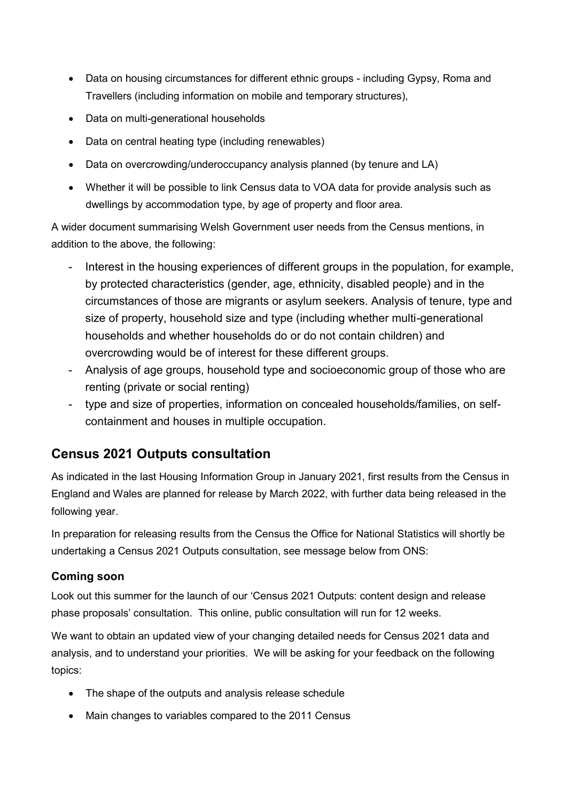- Data on housing circumstances for different ethnic groups including Gypsy, Roma and Travellers (including information on mobile and temporary structures),
- Data on multi-generational households
- Data on central heating type (including renewables)
- Data on overcrowding/underoccupancy analysis planned (by tenure and LA)
- Whether it will be possible to link Census data to VOA data for provide analysis such as dwellings by accommodation type, by age of property and floor area.

A wider document summarising Welsh Government user needs from the Census mentions, in addition to the above, the following:

- Interest in the housing experiences of different groups in the population, for example, by protected characteristics (gender, age, ethnicity, disabled people) and in the circumstances of those are migrants or asylum seekers. Analysis of tenure, type and size of property, household size and type (including whether multi-generational households and whether households do or do not contain children) and overcrowding would be of interest for these different groups.
- Analysis of age groups, household type and socioeconomic group of those who are renting (private or social renting)
- type and size of properties, information on concealed households/families, on selfcontainment and houses in multiple occupation.

# **Census 2021 Outputs consultation**

As indicated in the last Housing Information Group in January 2021, first results from the Census in England and Wales are planned for release by March 2022, with further data being released in the following year.

In preparation for releasing results from the Census the Office for National Statistics will shortly be undertaking a Census 2021 Outputs consultation, see message below from ONS:

#### **Coming soon**

Look out this summer for the launch of our 'Census 2021 Outputs: content design and release phase proposals' consultation. This online, public consultation will run for 12 weeks.

We want to obtain an updated view of your changing detailed needs for Census 2021 data and analysis, and to understand your priorities. We will be asking for your feedback on the following topics:

- The shape of the outputs and analysis release schedule
- Main changes to variables compared to the 2011 Census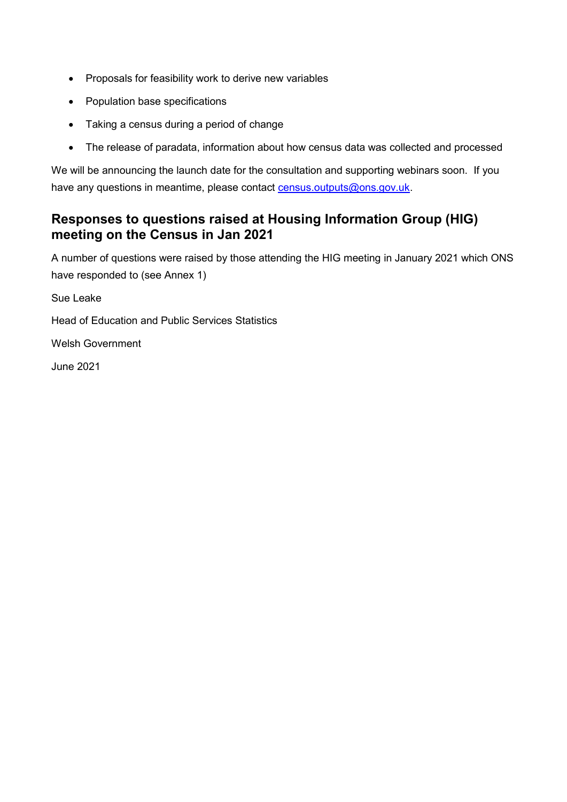- Proposals for feasibility work to derive new variables
- Population base specifications
- Taking a census during a period of change
- The release of paradata, information about how census data was collected and processed

We will be announcing the launch date for the consultation and supporting webinars soon. If you have any questions in meantime, please contact [census.outputs@ons.gov.uk.](mailto:census.outputs@ons.gov.uk)

### **Responses to questions raised at Housing Information Group (HIG) meeting on the Census in Jan 2021**

A number of questions were raised by those attending the HIG meeting in January 2021 which ONS have responded to (see Annex 1)

Sue Leake

Head of Education and Public Services Statistics

Welsh Government

June 2021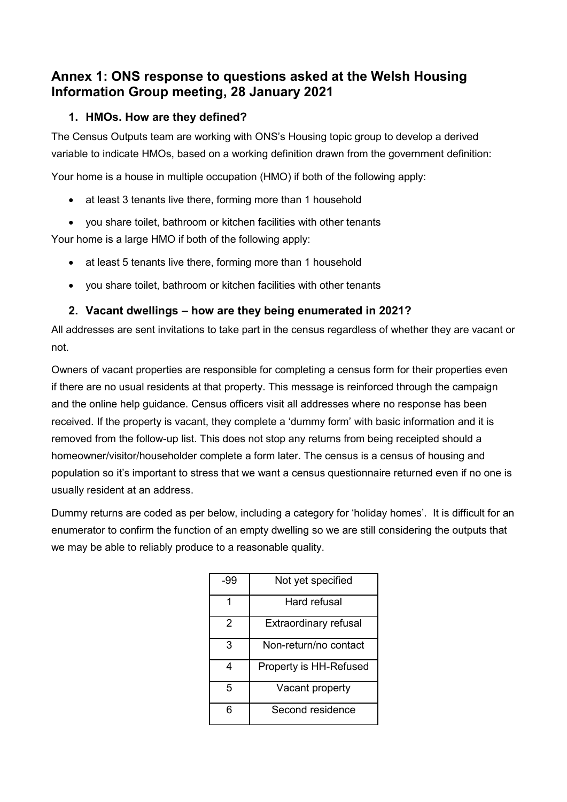# **Annex 1: ONS response to questions asked at the Welsh Housing Information Group meeting, 28 January 2021**

#### **1. HMOs. How are they defined?**

The Census Outputs team are working with ONS's Housing topic group to develop a derived variable to indicate HMOs, based on a working definition drawn from the government definition:

Your home is a house in multiple occupation (HMO) if both of the following apply:

- at least 3 tenants live there, forming more than 1 household
- you share toilet, bathroom or kitchen facilities with other tenants

Your home is a large HMO if both of the following apply:

- at least 5 tenants live there, forming more than 1 household
- you share toilet, bathroom or kitchen facilities with other tenants

#### **2. Vacant dwellings – how are they being enumerated in 2021?**

All addresses are sent invitations to take part in the census regardless of whether they are vacant or not.

Owners of vacant properties are responsible for completing a census form for their properties even if there are no usual residents at that property. This message is reinforced through the campaign and the online help guidance. Census officers visit all addresses where no response has been received. If the property is vacant, they complete a 'dummy form' with basic information and it is removed from the follow-up list. This does not stop any returns from being receipted should a homeowner/visitor/householder complete a form later. The census is a census of housing and population so it's important to stress that we want a census questionnaire returned even if no one is usually resident at an address.

Dummy returns are coded as per below, including a category for 'holiday homes'. It is difficult for an enumerator to confirm the function of an empty dwelling so we are still considering the outputs that we may be able to reliably produce to a reasonable quality.

| -99 | Not yet specified      |
|-----|------------------------|
|     | Hard refusal           |
| 2   | Extraordinary refusal  |
| 3   | Non-return/no contact  |
|     | Property is HH-Refused |
| 5   | Vacant property        |
| ิค  | Second residence       |